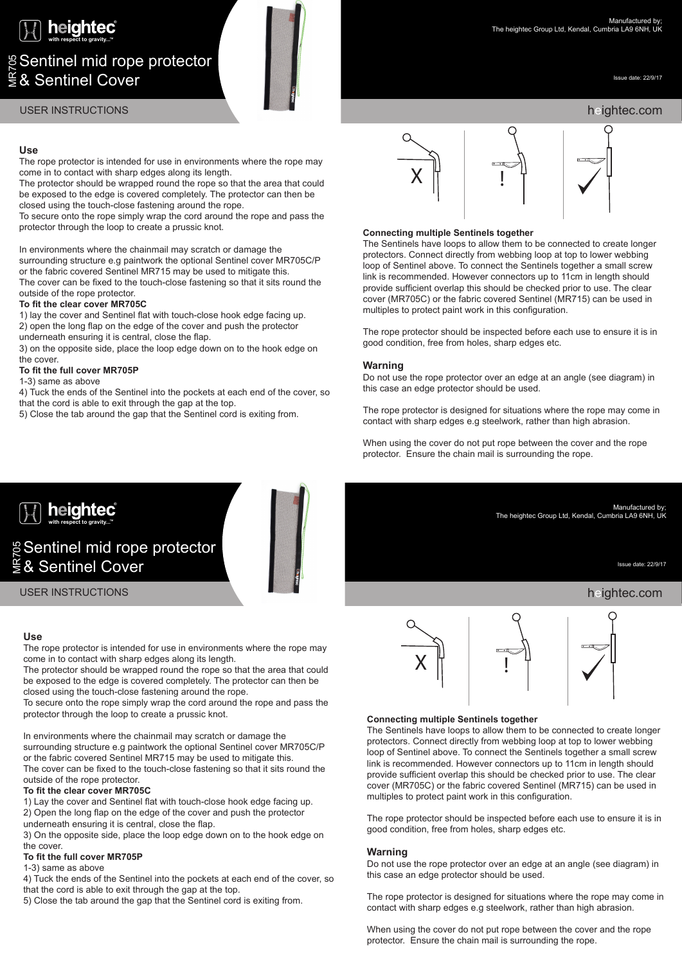

# ଞ୍ Sentinel mid rope protector<br>⋚& Sentinel Cover

Issue date: 22/9/17

# heightec.com

heightec.com

Issue date: 22/9/17

Manufactured by; The heightec Group Ltd, Kendal, Cumbria LA9 6NH, UK

# USER INSTRUCTIONS

# **Use**

The rope protector is intended for use in environments where the rope may come in to contact with sharp edges along its length.

The protector should be wrapped round the rope so that the area that could be exposed to the edge is covered completely. The protector can then be closed using the touch-close fastening around the rope.

To secure onto the rope simply wrap the cord around the rope and pass the protector through the loop to create a prussic knot.

In environments where the chainmail may scratch or damage the surrounding structure e.g paintwork the optional Sentinel cover MR705C/P or the fabric covered Sentinel MR715 may be used to mitigate this. The cover can be fixed to the touch-close fastening so that it sits round the outside of the rope protector.

# **To fit the clear cover MR705C**

1) lay the cover and Sentinel flat with touch-close hook edge facing up. 2) open the long flap on the edge of the cover and push the protector

underneath ensuring it is central, close the flap.

3) on the opposite side, place the loop edge down on to the hook edge on the cover.

# **To fit the full cover MR705P**

1-3) same as above

4) Tuck the ends of the Sentinel into the pockets at each end of the cover, so that the cord is able to exit through the gap at the top.

5) Close the tab around the gap that the Sentinel cord is exiting from.



# **Connecting multiple Sentinels together**<br>The Sentinels have loops to allow them to

The Sentinels have loops to allow them to be connected to create longer protectors. Connect directly from webbing loop at top to lower webbing loop of Sentinel above. To connect the Sentinels together a small screw link is recommended. However connectors up to 11cm in length should provide sufficient overlap this should be checked prior to use. The clear cover (MR705C) or the fabric covered Sentinel (MR715) can be used in multiples to protect paint work in this configuration.

The rope protector should be inspected before each use to ensure it is in good condition, free from holes, sharp edges etc.

## **Warning**

Do not use the rope protector over an edge at an angle (see diagram) in this case an edge protector should be used.

The rope protector is designed for situations where the rope may come in contact with sharp edges e.g steelwork, rather than high abrasion.

When using the cover do not put rope between the cover and the rope protector. Ensure the chain mail is surrounding the rope.



USER INSTRUCTIONS

# **Use**

The rope protector is intended for use in environments where the rope may come in to contact with sharp edges along its length.

The protector should be wrapped round the rope so that the area that could be exposed to the edge is covered completely. The protector can then be closed using the touch-close fastening around the rope.

To secure onto the rope simply wrap the cord around the rope and pass the protector through the loop to create a prussic knot.

In environments where the chainmail may scratch or damage the surrounding structure e.g paintwork the optional Sentinel cover MR705C/P or the fabric covered Sentinel MR715 may be used to mitigate this. The cover can be fixed to the touch-close fastening so that it sits round the outside of the rope protector.

# **To fit the clear cover MR705C**

1) Lay the cover and Sentinel flat with touch-close hook edge facing up.

2) Open the long flap on the edge of the cover and push the protector

underneath ensuring it is central, close the flap.

3) On the opposite side, place the loop edge down on to the hook edge on the cover.

# **To fit the full cover MR705P**

1-3) same as above

4) Tuck the ends of the Sentinel into the pockets at each end of the cover, so that the cord is able to exit through the gap at the top.

5) Close the tab around the gap that the Sentinel cord is exiting from.



# **Connecting multiple Sentinels together**<br>The Sentinels have loops to allow them to

The Sentinels have loops to allow them to be connected to create longer protectors. Connect directly from webbing loop at top to lower webbing loop of Sentinel above. To connect the Sentinels together a small screw link is recommended. However connectors up to 11cm in length should provide sufficient overlap this should be checked prior to use. The clear cover (MR705C) or the fabric covered Sentinel (MR715) can be used in multiples to protect paint work in this configuration.

The rope protector should be inspected before each use to ensure it is in good condition, free from holes, sharp edges etc.

# **Warning**

Do not use the rope protector over an edge at an angle (see diagram) in this case an edge protector should be used.

The rope protector is designed for situations where the rope may come in contact with sharp edges e.g steelwork, rather than high abrasion.

When using the cover do not put rope between the cover and the rope protector. Ensure the chain mail is surrounding the rope.